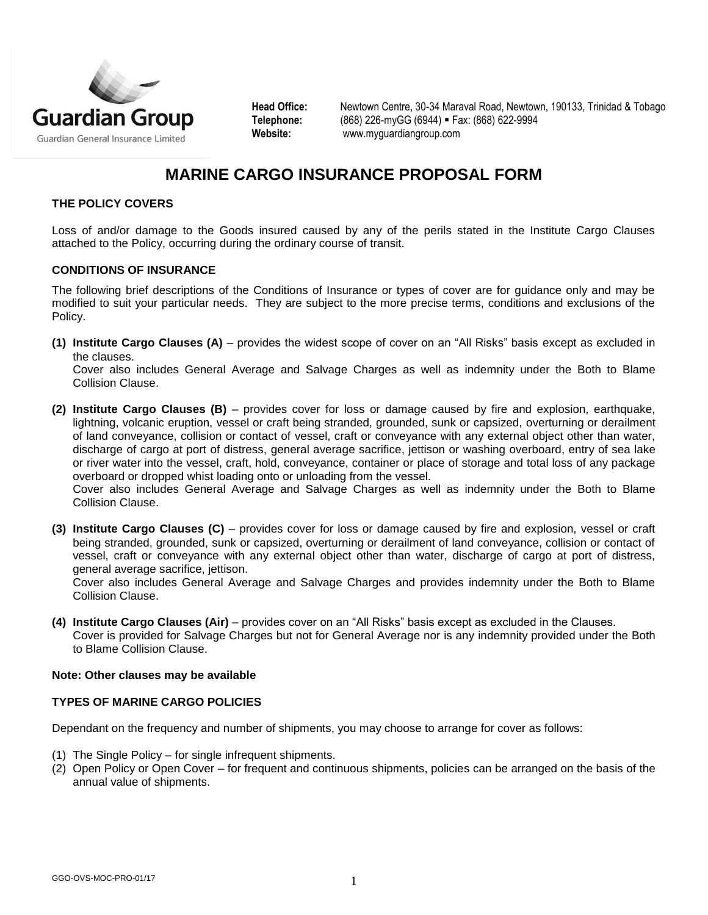

**Head Office:** Newtown Centre, 30-34 Maraval Road, Newtown, 190133, Trinidad & Tobago **Telephone:** (868) 226-myGG (6944) Fax: (868) 622-9994 **Website:** [www.myguardiangroup.com](http://www.myguardiangroup.com/)

# **MARINE CARGO INSURANCE PROPOSAL FORM**

## **THE POLICY COVERS**

Loss of and/or damage to the Goods insured caused by any of the perils stated in the Institute Cargo Clauses attached to the Policy, occurring during the ordinary course of transit.

#### **CONDITIONS OF INSURANCE**

The following brief descriptions of the Conditions of Insurance or types of cover are for guidance only and may be modified to suit your particular needs. They are subject to the more precise terms, conditions and exclusions of the Policy.

**(1) Institute Cargo Clauses (A)** – provides the widest scope of cover on an "All Risks" basis except as excluded in the clauses.

Cover also includes General Average and Salvage Charges as well as indemnity under the Both to Blame Collision Clause.

**(2) Institute Cargo Clauses (B)** – provides cover for loss or damage caused by fire and explosion, earthquake, lightning, volcanic eruption, vessel or craft being stranded, grounded, sunk or capsized, overturning or derailment of land conveyance, collision or contact of vessel, craft or conveyance with any external object other than water, discharge of cargo at port of distress, general average sacrifice, jettison or washing overboard, entry of sea lake or river water into the vessel, craft, hold, conveyance, container or place of storage and total loss of any package overboard or dropped whist loading onto or unloading from the vessel.

Cover also includes General Average and Salvage Charges as well as indemnity under the Both to Blame Collision Clause.

**(3) Institute Cargo Clauses (C)** – provides cover for loss or damage caused by fire and explosion, vessel or craft being stranded, grounded, sunk or capsized, overturning or derailment of land conveyance, collision or contact of vessel, craft or conveyance with any external object other than water, discharge of cargo at port of distress, general average sacrifice, jettison.

Cover also includes General Average and Salvage Charges and provides indemnity under the Both to Blame Collision Clause.

**(4) Institute Cargo Clauses (Air)** – provides cover on an "All Risks" basis except as excluded in the Clauses. Cover is provided for Salvage Charges but not for General Average nor is any indemnity provided under the Both to Blame Collision Clause.

#### **Note: Other clauses may be available**

#### **TYPES OF MARINE CARGO POLICIES**

Dependant on the frequency and number of shipments, you may choose to arrange for cover as follows:

- (1) The Single Policy for single infrequent shipments.
- (2) Open Policy or Open Cover for frequent and continuous shipments, policies can be arranged on the basis of the annual value of shipments.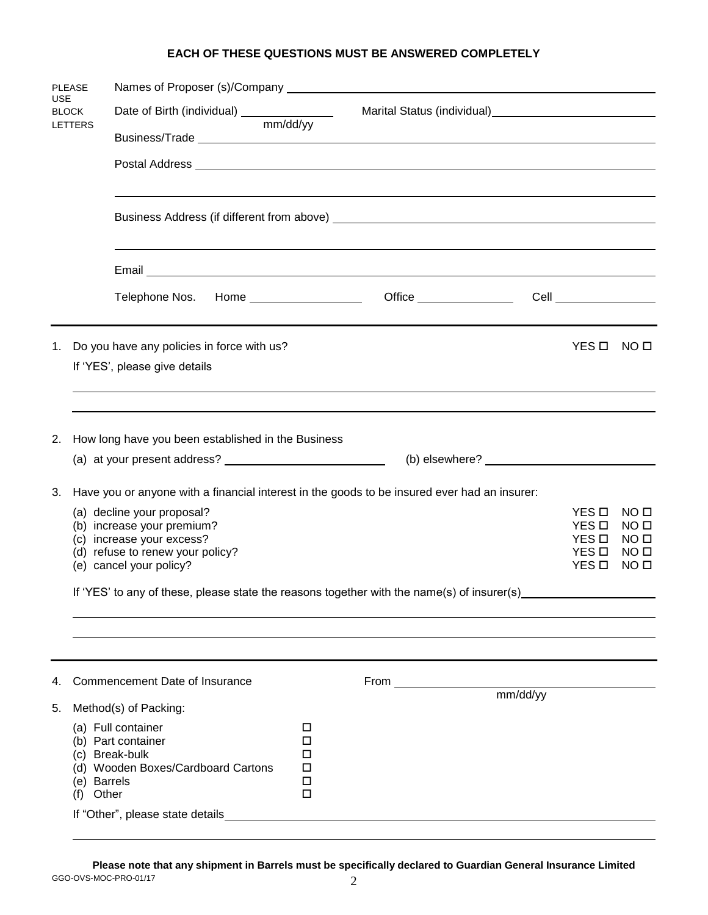### **EACH OF THESE QUESTIONS MUST BE ANSWERED COMPLETELY**

| <b>PLEASE</b>                         |                                                                                              | Names of Proposer (s)/Company Letter and the control of the control of the control of the control of the control of the control of the control of the control of the control of the control of the control of the control of t |                       |      |                                                                    |                                  |                                      |  |
|---------------------------------------|----------------------------------------------------------------------------------------------|--------------------------------------------------------------------------------------------------------------------------------------------------------------------------------------------------------------------------------|-----------------------|------|--------------------------------------------------------------------|----------------------------------|--------------------------------------|--|
| <b>USE</b><br><b>BLOCK</b><br>LETTERS |                                                                                              |                                                                                                                                                                                                                                |                       |      | Marital Status (individual)<br><u>Carrical Status (individual)</u> |                                  |                                      |  |
|                                       |                                                                                              |                                                                                                                                                                                                                                |                       |      |                                                                    |                                  |                                      |  |
|                                       |                                                                                              |                                                                                                                                                                                                                                |                       |      |                                                                    |                                  |                                      |  |
|                                       |                                                                                              |                                                                                                                                                                                                                                |                       |      |                                                                    |                                  |                                      |  |
|                                       |                                                                                              |                                                                                                                                                                                                                                |                       |      |                                                                    |                                  |                                      |  |
|                                       |                                                                                              | Telephone Nos. Home __________________                                                                                                                                                                                         |                       |      |                                                                    | Cell _________________           |                                      |  |
| 1.                                    |                                                                                              | Do you have any policies in force with us?<br>If 'YES', please give details                                                                                                                                                    |                       |      |                                                                    | YES O                            | NO □                                 |  |
|                                       |                                                                                              |                                                                                                                                                                                                                                |                       |      |                                                                    |                                  |                                      |  |
|                                       |                                                                                              |                                                                                                                                                                                                                                |                       |      |                                                                    |                                  |                                      |  |
| 2.                                    |                                                                                              | How long have you been established in the Business                                                                                                                                                                             |                       |      |                                                                    |                                  |                                      |  |
|                                       |                                                                                              |                                                                                                                                                                                                                                |                       |      |                                                                    |                                  |                                      |  |
|                                       |                                                                                              |                                                                                                                                                                                                                                |                       |      |                                                                    |                                  |                                      |  |
| 3.                                    | Have you or anyone with a financial interest in the goods to be insured ever had an insurer: |                                                                                                                                                                                                                                |                       |      |                                                                    |                                  |                                      |  |
|                                       |                                                                                              | (a) decline your proposal?<br>(b) increase your premium?                                                                                                                                                                       |                       |      |                                                                    | YES □<br>YES □                   | NO <sub>II</sub><br>NO <sub>II</sub> |  |
|                                       |                                                                                              | (c) increase your excess?                                                                                                                                                                                                      |                       |      |                                                                    | YES O                            | NO □                                 |  |
|                                       |                                                                                              | (d) refuse to renew your policy?<br>(e) cancel your policy?                                                                                                                                                                    |                       |      |                                                                    | YES <b>D</b><br>YES <sub>D</sub> | NO □<br>NO □                         |  |
|                                       |                                                                                              |                                                                                                                                                                                                                                |                       |      |                                                                    |                                  |                                      |  |
|                                       |                                                                                              | If 'YES' to any of these, please state the reasons together with the name(s) of insurer(s)                                                                                                                                     |                       |      |                                                                    |                                  |                                      |  |
|                                       |                                                                                              |                                                                                                                                                                                                                                |                       |      |                                                                    |                                  |                                      |  |
|                                       |                                                                                              |                                                                                                                                                                                                                                |                       |      |                                                                    |                                  |                                      |  |
| 4.                                    |                                                                                              | Commencement Date of Insurance                                                                                                                                                                                                 |                       | From | mm/dd/yy                                                           |                                  |                                      |  |
| 5.                                    |                                                                                              | Method(s) of Packing:                                                                                                                                                                                                          |                       |      |                                                                    |                                  |                                      |  |
|                                       | (e) Barrels                                                                                  | (a) Full container<br>(b) Part container<br>(c) Break-bulk<br>(d) Wooden Boxes/Cardboard Cartons                                                                                                                               | □<br>□<br>П<br>□<br>□ |      |                                                                    |                                  |                                      |  |
|                                       | (f)                                                                                          | Other                                                                                                                                                                                                                          | □                     |      |                                                                    |                                  |                                      |  |
|                                       |                                                                                              | If "Other", please state details                                                                                                                                                                                               |                       |      |                                                                    |                                  |                                      |  |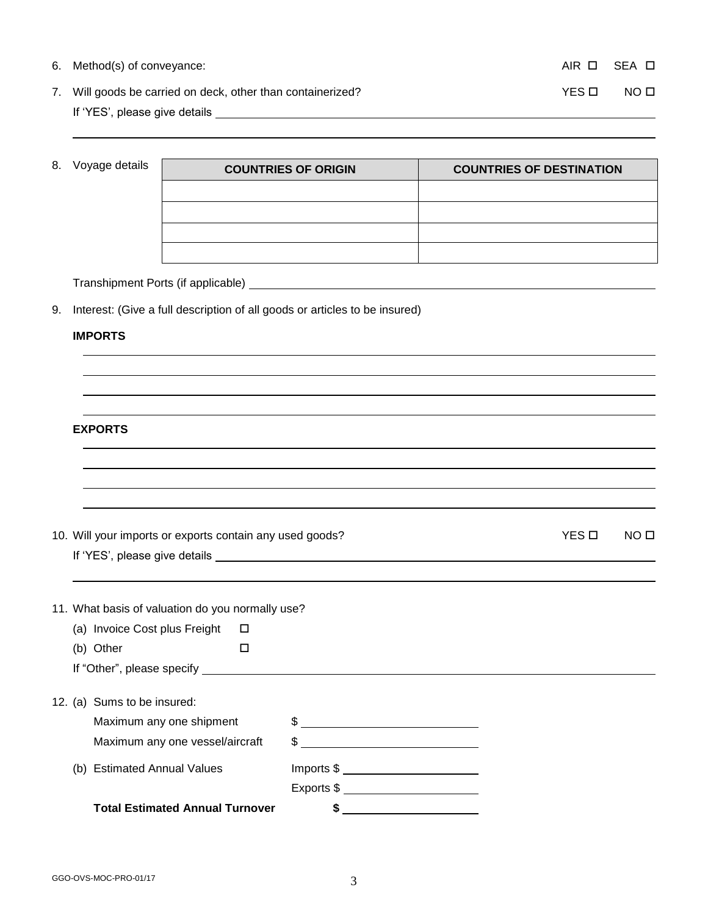| 6. Method(s) of conveyance:                                 |       | AIR OISEA O |
|-------------------------------------------------------------|-------|-------------|
| 7. Will goods be carried on deck, other than containerized? | YFS O | NO O        |
| If 'YES', please give details                               |       |             |

<sup>8.</sup> Voyage details

| <b>COUNTRIES OF ORIGIN</b> | <b>COUNTRIES OF DESTINATION</b> |
|----------------------------|---------------------------------|
|                            |                                 |
|                            |                                 |
|                            |                                 |
|                            |                                 |

Transhipment Ports (if applicable)

9. Interest: (Give a full description of all goods or articles to be insured)

#### **IMPORTS**

| <b>EXPORTS</b><br>10. Will your imports or exports contain any used goods?<br>11. What basis of valuation do you normally use?<br>(a) Invoice Cost plus Freight<br>□<br>(b) Other<br>$\Box$ | YES O | NO <sub>II</sub> |  |  |  |  |  |  |
|---------------------------------------------------------------------------------------------------------------------------------------------------------------------------------------------|-------|------------------|--|--|--|--|--|--|
|                                                                                                                                                                                             |       |                  |  |  |  |  |  |  |
|                                                                                                                                                                                             |       |                  |  |  |  |  |  |  |
|                                                                                                                                                                                             |       |                  |  |  |  |  |  |  |
|                                                                                                                                                                                             |       |                  |  |  |  |  |  |  |
|                                                                                                                                                                                             |       |                  |  |  |  |  |  |  |
|                                                                                                                                                                                             |       |                  |  |  |  |  |  |  |
|                                                                                                                                                                                             |       |                  |  |  |  |  |  |  |
|                                                                                                                                                                                             |       |                  |  |  |  |  |  |  |
| 12. (a) Sums to be insured:                                                                                                                                                                 |       |                  |  |  |  |  |  |  |
| $\frac{1}{2}$<br>Maximum any one shipment                                                                                                                                                   |       |                  |  |  |  |  |  |  |
| $\frac{1}{2}$<br>Maximum any one vessel/aircraft                                                                                                                                            |       |                  |  |  |  |  |  |  |
| $Imports $ \underbrace{\texttt{1} \texttt{m} \texttt{ports} }$<br>(b) Estimated Annual Values                                                                                               |       |                  |  |  |  |  |  |  |
| Exports $\frac{1}{2}$                                                                                                                                                                       |       |                  |  |  |  |  |  |  |
| <b>Total Estimated Annual Turnover</b><br>\$                                                                                                                                                |       |                  |  |  |  |  |  |  |